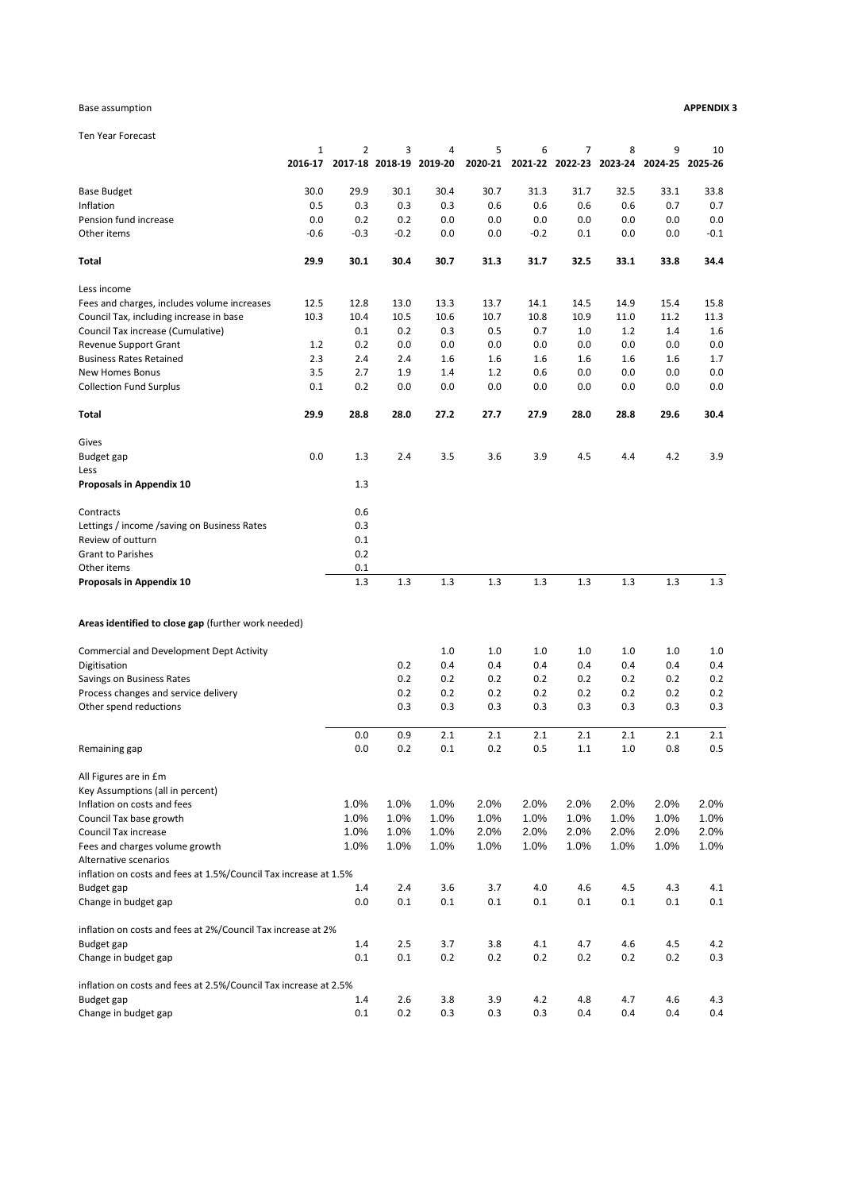#### Base assumption **APPENDIX 3**

Ten Year Forecast

|                                                                  | $\mathbf{1}$ | $\overline{2}$ | 3       | 4                       | 5       | 6      | $\overline{7}$          | 8    | 9               | 10     |
|------------------------------------------------------------------|--------------|----------------|---------|-------------------------|---------|--------|-------------------------|------|-----------------|--------|
|                                                                  | 2016-17      |                |         | 2017-18 2018-19 2019-20 | 2020-21 |        | 2021-22 2022-23 2023-24 |      | 2024-25 2025-26 |        |
| <b>Base Budget</b>                                               | 30.0         | 29.9           | 30.1    | 30.4                    | 30.7    | 31.3   | 31.7                    | 32.5 | 33.1            | 33.8   |
| Inflation                                                        | 0.5          | 0.3            | 0.3     | 0.3                     | 0.6     | 0.6    | 0.6                     | 0.6  | 0.7             | 0.7    |
| Pension fund increase                                            | 0.0          | 0.2            | 0.2     | 0.0                     | 0.0     | 0.0    | 0.0                     | 0.0  | 0.0             | 0.0    |
| Other items                                                      | $-0.6$       | $-0.3$         | $-0.2$  | 0.0                     | 0.0     | $-0.2$ | 0.1                     | 0.0  | 0.0             | $-0.1$ |
| Total                                                            | 29.9         | 30.1           | 30.4    | 30.7                    | 31.3    | 31.7   | 32.5                    | 33.1 | 33.8            | 34.4   |
| Less income                                                      |              |                |         |                         |         |        |                         |      |                 |        |
| Fees and charges, includes volume increases                      | 12.5         | 12.8           | 13.0    | 13.3                    | 13.7    | 14.1   | 14.5                    | 14.9 | 15.4            | 15.8   |
| Council Tax, including increase in base                          | 10.3         | 10.4           | 10.5    | 10.6                    | 10.7    | 10.8   | 10.9                    | 11.0 | 11.2            | 11.3   |
| Council Tax increase (Cumulative)                                |              | 0.1            | 0.2     | 0.3                     | 0.5     | 0.7    | 1.0                     | 1.2  | 1.4             | 1.6    |
| Revenue Support Grant                                            | 1.2          | 0.2            | 0.0     | 0.0                     | 0.0     | 0.0    | 0.0                     | 0.0  | 0.0             | 0.0    |
| <b>Business Rates Retained</b>                                   | 2.3          | 2.4            | 2.4     | 1.6                     | 1.6     | 1.6    | 1.6                     | 1.6  | 1.6             | 1.7    |
| New Homes Bonus                                                  | 3.5          | 2.7            | 1.9     | 1.4                     | 1.2     | 0.6    | 0.0                     | 0.0  | 0.0             | 0.0    |
| <b>Collection Fund Surplus</b>                                   | 0.1          | 0.2            | 0.0     | 0.0                     | 0.0     | 0.0    | 0.0                     | 0.0  | 0.0             | 0.0    |
| Total                                                            | 29.9         | 28.8           | 28.0    | 27.2                    | 27.7    | 27.9   | 28.0                    | 28.8 | 29.6            | 30.4   |
| Gives                                                            |              |                |         |                         |         |        |                         |      |                 |        |
| Budget gap                                                       | 0.0          | 1.3            | 2.4     | 3.5                     | 3.6     | 3.9    | 4.5                     | 4.4  | 4.2             | 3.9    |
| Less                                                             |              |                |         |                         |         |        |                         |      |                 |        |
| Proposals in Appendix 10                                         |              | 1.3            |         |                         |         |        |                         |      |                 |        |
| Contracts                                                        |              | 0.6            |         |                         |         |        |                         |      |                 |        |
| Lettings / income / saving on Business Rates                     |              | 0.3            |         |                         |         |        |                         |      |                 |        |
| Review of outturn                                                |              | 0.1            |         |                         |         |        |                         |      |                 |        |
| <b>Grant to Parishes</b>                                         |              | 0.2            |         |                         |         |        |                         |      |                 |        |
| Other items                                                      |              | 0.1            |         |                         |         |        |                         |      |                 |        |
| Proposals in Appendix 10                                         |              | 1.3            | 1.3     | 1.3                     | 1.3     | 1.3    | 1.3                     | 1.3  | 1.3             | 1.3    |
|                                                                  |              |                |         |                         |         |        |                         |      |                 |        |
| Areas identified to close gap (further work needed)              |              |                |         |                         |         |        |                         |      |                 |        |
| Commercial and Development Dept Activity                         |              |                |         | 1.0                     | 1.0     | 1.0    | 1.0                     | 1.0  | 1.0             | 1.0    |
| Digitisation                                                     |              |                | 0.2     | 0.4                     | 0.4     | 0.4    | 0.4                     | 0.4  | 0.4             | 0.4    |
| Savings on Business Rates                                        |              |                | 0.2     | 0.2                     | 0.2     | 0.2    | 0.2                     | 0.2  | 0.2             | 0.2    |
| Process changes and service delivery                             |              |                | 0.2     | 0.2                     | 0.2     | 0.2    | 0.2                     | 0.2  | 0.2             | 0.2    |
| Other spend reductions                                           |              |                | 0.3     | 0.3                     | 0.3     | 0.3    | 0.3                     | 0.3  | 0.3             | 0.3    |
|                                                                  |              | 0.0            | 0.9     | 2.1                     | 2.1     | 2.1    | 2.1                     | 2.1  | 2.1             | 2.1    |
| Remaining gap                                                    |              | 0.0            | 0.2     | 0.1                     | 0.2     | 0.5    | 1.1                     | 1.0  | 0.8             | 0.5    |
| All Figures are in £m                                            |              |                |         |                         |         |        |                         |      |                 |        |
| Key Assumptions (all in percent)                                 |              |                |         |                         |         |        |                         |      |                 |        |
| Inflation on costs and fees                                      |              | 1.0%           | 1.0%    | 1.0%                    | 2.0%    | 2.0%   | 2.0%                    | 2.0% | 2.0%            | 2.0%   |
| Council Tax base growth                                          |              | 1.0%           | 1.0%    | 1.0%                    | 1.0%    | 1.0%   | 1.0%                    | 1.0% | 1.0%            | 1.0%   |
| Council Tax increase                                             |              | 1.0%           | 1.0%    | 1.0%                    | 2.0%    | 2.0%   | 2.0%                    | 2.0% | 2.0%            | 2.0%   |
| Fees and charges volume growth                                   |              | 1.0%           | 1.0%    | 1.0%                    | 1.0%    | 1.0%   | 1.0%                    | 1.0% | 1.0%            | 1.0%   |
| Alternative scenarios                                            |              |                |         |                         |         |        |                         |      |                 |        |
| inflation on costs and fees at 1.5%/Council Tax increase at 1.5% |              |                |         |                         |         |        |                         |      |                 |        |
| Budget gap                                                       |              | 1.4            | 2.4     | 3.6                     | 3.7     | 4.0    | 4.6                     | 4.5  | 4.3             | 4.1    |
| Change in budget gap                                             |              | 0.0            | 0.1     | $0.1\,$                 | 0.1     | 0.1    | 0.1                     | 0.1  | 0.1             | 0.1    |
| inflation on costs and fees at 2%/Council Tax increase at 2%     |              |                |         |                         |         |        |                         |      |                 |        |
| Budget gap                                                       |              | 1.4            | 2.5     | 3.7                     | 3.8     | 4.1    | 4.7                     | 4.6  | 4.5             | 4.2    |
| Change in budget gap                                             |              | 0.1            | $0.1\,$ | 0.2                     | 0.2     | 0.2    | 0.2                     | 0.2  | 0.2             | 0.3    |
| inflation on costs and fees at 2.5%/Council Tax increase at 2.5% |              |                |         |                         |         |        |                         |      |                 |        |
| Budget gap                                                       |              | 1.4            | 2.6     | 3.8                     | 3.9     | 4.2    | 4.8                     | 4.7  | 4.6             | 4.3    |
| Change in budget gap                                             |              | $0.1\,$        | 0.2     | 0.3                     | 0.3     | 0.3    | 0.4                     | 0.4  | 0.4             | 0.4    |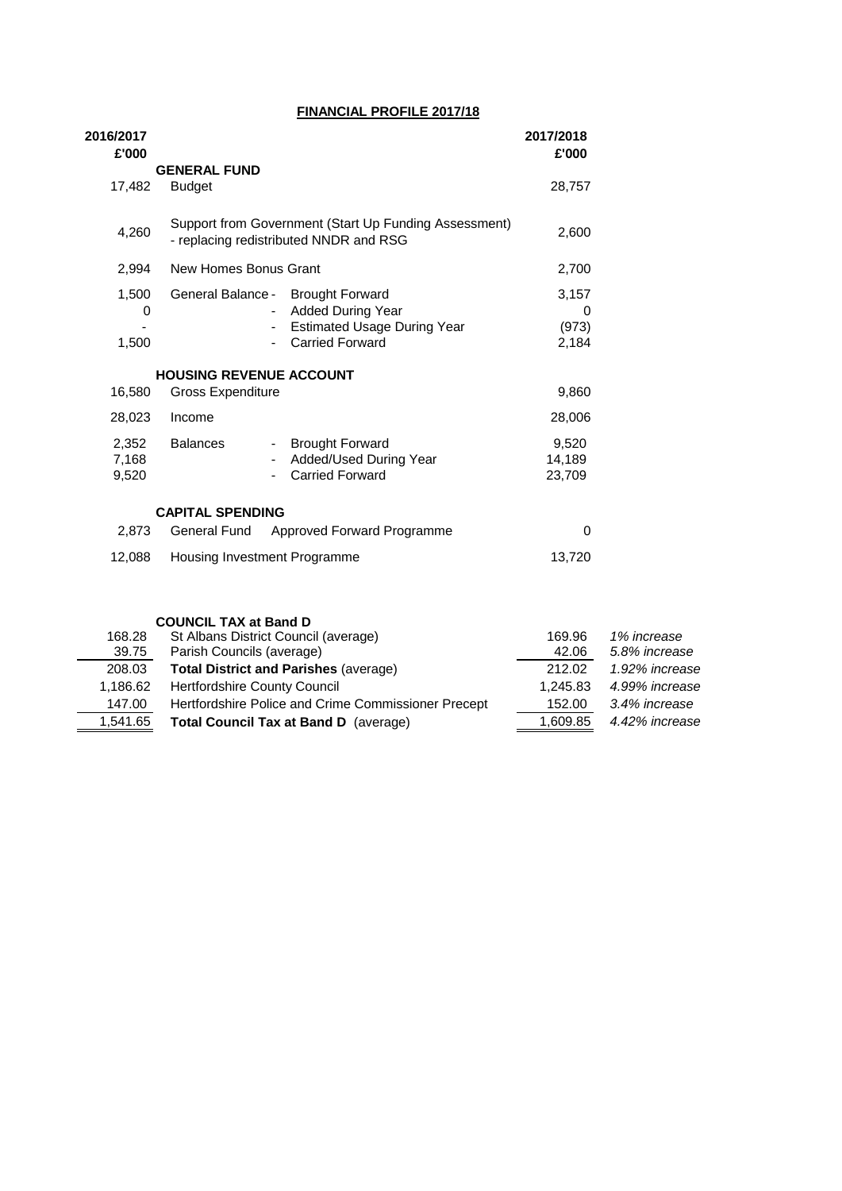### **FINANCIAL PROFILE 2017/18**

| 2016/2017<br>£'000      |                                        |                                                                                                                    | 2017/2018<br>£'000           |
|-------------------------|----------------------------------------|--------------------------------------------------------------------------------------------------------------------|------------------------------|
|                         | <b>GENERAL FUND</b>                    |                                                                                                                    |                              |
| 17,482                  | <b>Budget</b>                          |                                                                                                                    | 28,757                       |
| 4,260                   | - replacing redistributed NNDR and RSG | Support from Government (Start Up Funding Assessment)                                                              | 2,600                        |
| 2,994                   | New Homes Bonus Grant                  |                                                                                                                    | 2,700                        |
| 1,500<br>0<br>1,500     | General Balance -                      | <b>Brought Forward</b><br><b>Added During Year</b><br><b>Estimated Usage During Year</b><br><b>Carried Forward</b> | 3,157<br>0<br>(973)<br>2,184 |
|                         | <b>HOUSING REVENUE ACCOUNT</b>         |                                                                                                                    |                              |
| 16,580                  | <b>Gross Expenditure</b>               |                                                                                                                    | 9,860                        |
| 28,023                  | Income                                 |                                                                                                                    | 28,006                       |
| 2,352<br>7,168<br>9,520 | <b>Balances</b><br>$\sim 100$          | <b>Brought Forward</b><br>Added/Used During Year<br><b>Carried Forward</b>                                         | 9,520<br>14,189<br>23,709    |
|                         | <b>CAPITAL SPENDING</b>                |                                                                                                                    |                              |
| 2.873                   |                                        | General Fund Approved Forward Programme                                                                            | 0                            |
| 12,088                  | Housing Investment Programme           |                                                                                                                    | 13,720                       |

|          | <b>COUNCIL TAX at Band D</b>                        |          |                |
|----------|-----------------------------------------------------|----------|----------------|
| 168.28   | St Albans District Council (average)                | 169.96   | 1% increase    |
| 39.75    | Parish Councils (average)                           | 42.06    | 5.8% increase  |
| 208.03   | <b>Total District and Parishes (average)</b>        | 212.02   | 1.92% increase |
| 1,186.62 | <b>Hertfordshire County Council</b>                 | 1,245.83 | 4.99% increase |
| 147.00   | Hertfordshire Police and Crime Commissioner Precept | 152.00   | 3.4% increase  |
| 1,541.65 | <b>Total Council Tax at Band D</b> (average)        | 1,609.85 | 4.42% increase |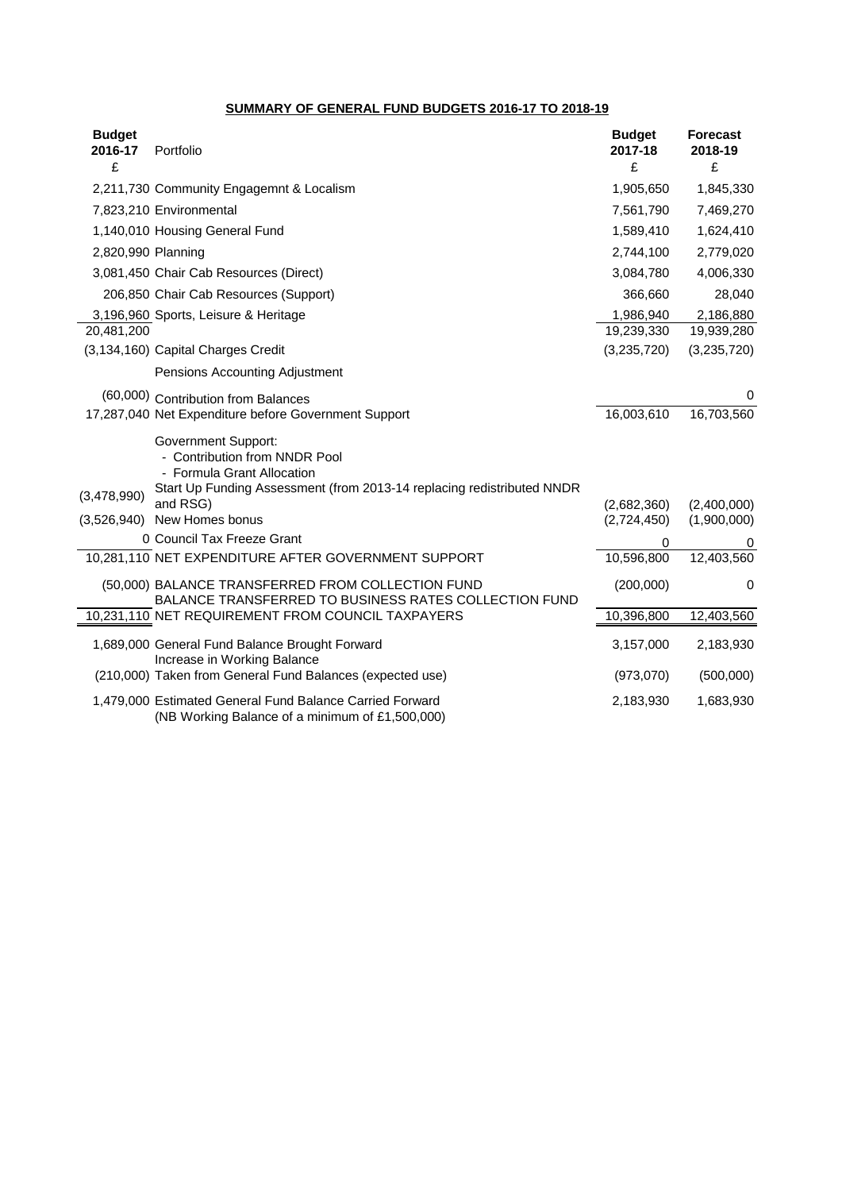### **SUMMARY OF GENERAL FUND BUDGETS 2016-17 TO 2018-19**

| <b>Budget</b><br>2016-17 | Portfolio                                                                                                                                                           | <b>Budget</b><br>2017-18 | <b>Forecast</b><br>2018-19 |
|--------------------------|---------------------------------------------------------------------------------------------------------------------------------------------------------------------|--------------------------|----------------------------|
| £                        |                                                                                                                                                                     | £                        | £                          |
|                          | 2,211,730 Community Engagemnt & Localism                                                                                                                            | 1,905,650                | 1,845,330                  |
|                          | 7,823,210 Environmental                                                                                                                                             | 7,561,790                | 7,469,270                  |
|                          | 1,140,010 Housing General Fund                                                                                                                                      | 1,589,410                | 1,624,410                  |
| 2,820,990 Planning       |                                                                                                                                                                     | 2,744,100                | 2,779,020                  |
|                          | 3,081,450 Chair Cab Resources (Direct)                                                                                                                              | 3,084,780                | 4,006,330                  |
|                          | 206,850 Chair Cab Resources (Support)                                                                                                                               | 366,660                  | 28,040                     |
|                          | 3,196,960 Sports, Leisure & Heritage                                                                                                                                | 1,986,940                | 2,186,880                  |
| 20,481,200               |                                                                                                                                                                     | 19,239,330               | 19,939,280                 |
|                          | (3,134,160) Capital Charges Credit                                                                                                                                  | (3,235,720)              | (3,235,720)                |
|                          | Pensions Accounting Adjustment                                                                                                                                      |                          |                            |
|                          | (60,000) Contribution from Balances                                                                                                                                 |                          | 0                          |
|                          | 17,287,040 Net Expenditure before Government Support                                                                                                                | 16,003,610               | 16,703,560                 |
|                          | <b>Government Support:</b><br>- Contribution from NNDR Pool<br>- Formula Grant Allocation<br>Start Up Funding Assessment (from 2013-14 replacing redistributed NNDR |                          |                            |
| (3,478,990)              | and RSG)                                                                                                                                                            | (2,682,360)              | (2,400,000)                |
| (3,526,940)              | New Homes bonus                                                                                                                                                     | (2,724,450)              | (1,900,000)                |
|                          | 0 Council Tax Freeze Grant                                                                                                                                          | 0                        | 0                          |
|                          | 10,281,110 NET EXPENDITURE AFTER GOVERNMENT SUPPORT                                                                                                                 | 10,596,800               | 12,403,560                 |
|                          | (50,000) BALANCE TRANSFERRED FROM COLLECTION FUND<br>BALANCE TRANSFERRED TO BUSINESS RATES COLLECTION FUND                                                          | (200,000)                | 0                          |
|                          | 10,231,110 NET REQUIREMENT FROM COUNCIL TAXPAYERS                                                                                                                   | 10,396,800               | 12,403,560                 |
|                          | 1,689,000 General Fund Balance Brought Forward<br>Increase in Working Balance                                                                                       | 3,157,000                | 2,183,930                  |
|                          | (210,000) Taken from General Fund Balances (expected use)                                                                                                           | (973,070)                | (500,000)                  |
|                          | 1,479,000 Estimated General Fund Balance Carried Forward<br>(NB Working Balance of a minimum of £1,500,000)                                                         | 2,183,930                | 1,683,930                  |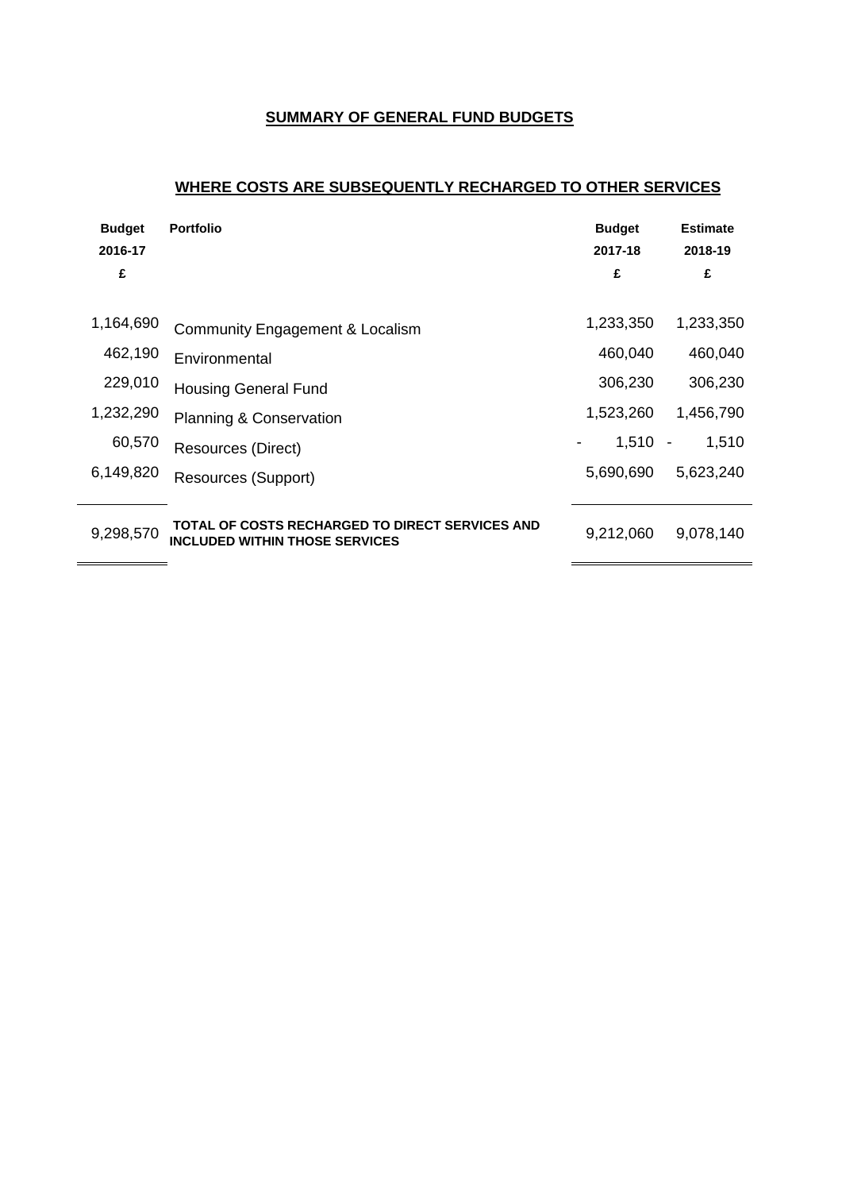## **SUMMARY OF GENERAL FUND BUDGETS**

# **WHERE COSTS ARE SUBSEQUENTLY RECHARGED TO OTHER SERVICES**

| <b>Budget</b><br>2016-17 | <b>Portfolio</b>                                                                         | <b>Budget</b><br>2017-18    | <b>Estimate</b><br>2018-19 |
|--------------------------|------------------------------------------------------------------------------------------|-----------------------------|----------------------------|
| £                        |                                                                                          | £                           | £                          |
| 1,164,690                | Community Engagement & Localism                                                          | 1,233,350                   | 1,233,350                  |
| 462,190                  | Environmental                                                                            | 460,040                     | 460,040                    |
| 229,010                  | <b>Housing General Fund</b>                                                              | 306,230                     | 306,230                    |
| 1,232,290                | <b>Planning &amp; Conservation</b>                                                       | 1,523,260                   | 1,456,790                  |
| 60,570                   | Resources (Direct)                                                                       | $1,510 -$<br>$\blacksquare$ | 1,510                      |
| 6,149,820                | Resources (Support)                                                                      | 5,690,690                   | 5,623,240                  |
| 9,298,570                | TOTAL OF COSTS RECHARGED TO DIRECT SERVICES AND<br><b>INCLUDED WITHIN THOSE SERVICES</b> | 9,212,060                   | 9,078,140                  |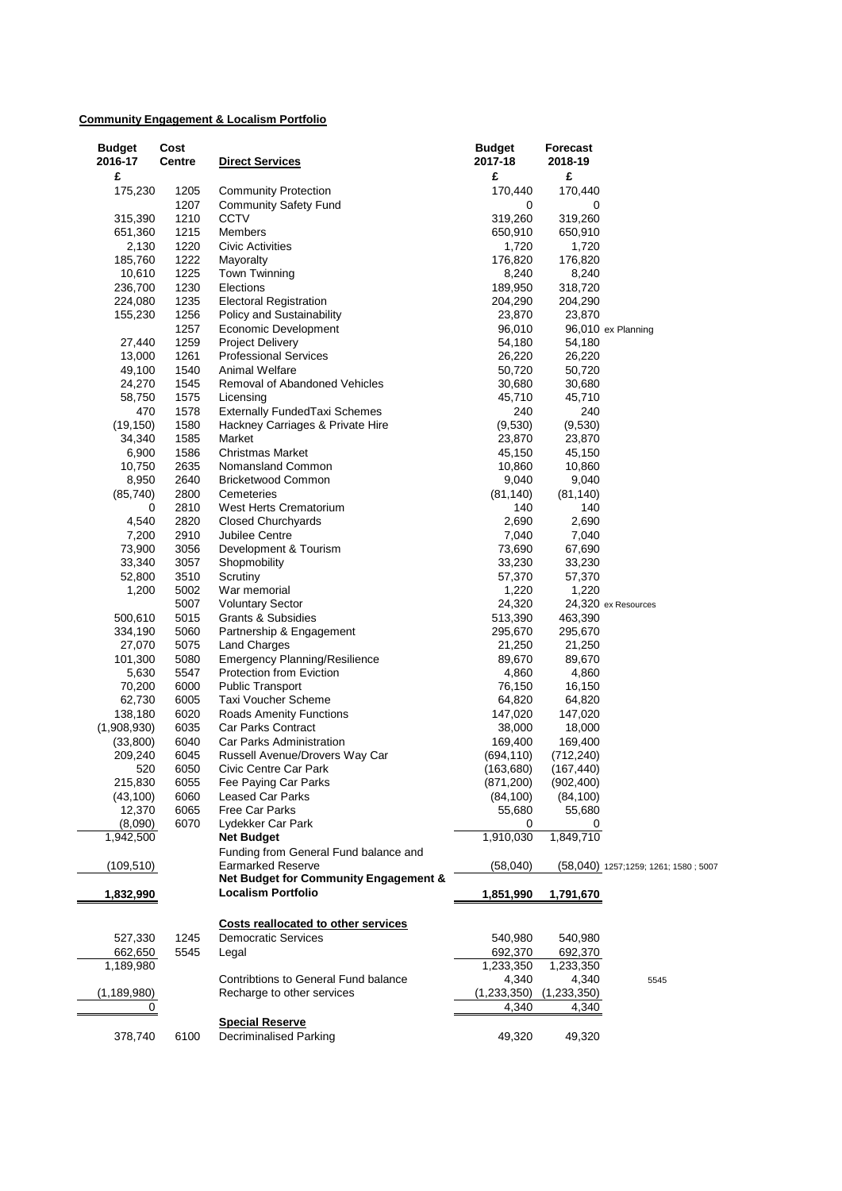## **Community Engagement & Localism Portfolio**

| <b>Budget</b> | Cost   |                                       | <b>Budget</b> | Forecast    |                                      |
|---------------|--------|---------------------------------------|---------------|-------------|--------------------------------------|
| 2016-17       | Centre | <b>Direct Services</b>                | 2017-18       | 2018-19     |                                      |
| £             |        |                                       | £             | £           |                                      |
| 175,230       | 1205   | <b>Community Protection</b>           | 170,440       | 170,440     |                                      |
|               | 1207   | <b>Community Safety Fund</b>          | 0             | 0           |                                      |
| 315,390       | 1210   | <b>CCTV</b>                           | 319,260       | 319,260     |                                      |
| 651,360       | 1215   | Members                               | 650,910       | 650,910     |                                      |
| 2,130         | 1220   | Civic Activities                      | 1,720         | 1,720       |                                      |
| 185,760       | 1222   | Mayoralty                             | 176,820       | 176,820     |                                      |
| 10,610        | 1225   | <b>Town Twinning</b>                  | 8,240         | 8,240       |                                      |
| 236,700       | 1230   | Elections                             | 189,950       | 318,720     |                                      |
| 224,080       | 1235   | <b>Electoral Registration</b>         | 204,290       | 204,290     |                                      |
| 155,230       | 1256   | Policy and Sustainability             | 23,870        | 23,870      |                                      |
|               | 1257   | Economic Development                  | 96,010        |             | 96,010 ex Planning                   |
| 27,440        | 1259   | <b>Project Delivery</b>               | 54,180        | 54,180      |                                      |
| 13,000        | 1261   | <b>Professional Services</b>          | 26,220        | 26,220      |                                      |
| 49,100        | 1540   | Animal Welfare                        | 50,720        | 50,720      |                                      |
| 24,270        | 1545   | Removal of Abandoned Vehicles         | 30,680        | 30,680      |                                      |
| 58,750        | 1575   | Licensing                             | 45,710        | 45,710      |                                      |
| 470           | 1578   | <b>Externally FundedTaxi Schemes</b>  | 240           | 240         |                                      |
| (19, 150)     | 1580   | Hackney Carriages & Private Hire      | (9,530)       | (9,530)     |                                      |
| 34,340        | 1585   | Market                                | 23,870        | 23,870      |                                      |
| 6,900         | 1586   | <b>Christmas Market</b>               | 45,150        | 45,150      |                                      |
| 10,750        | 2635   | Nomansland Common                     | 10,860        | 10,860      |                                      |
| 8,950         | 2640   | <b>Bricketwood Common</b>             | 9,040         | 9,040       |                                      |
| (85, 740)     | 2800   | Cemeteries                            | (81, 140)     | (81, 140)   |                                      |
| 0             | 2810   | West Herts Crematorium                | 140           | 140         |                                      |
| 4,540         | 2820   | <b>Closed Churchyards</b>             | 2,690         | 2,690       |                                      |
| 7,200         | 2910   | Jubilee Centre                        | 7,040         | 7,040       |                                      |
| 73,900        | 3056   | Development & Tourism                 | 73,690        | 67,690      |                                      |
| 33,340        | 3057   | Shopmobility                          | 33,230        | 33,230      |                                      |
| 52,800        | 3510   | Scrutiny                              | 57,370        | 57,370      |                                      |
| 1,200         | 5002   | War memorial                          | 1,220         | 1,220       |                                      |
|               | 5007   | <b>Voluntary Sector</b>               | 24,320        |             | 24,320 ex Resources                  |
| 500,610       | 5015   | Grants & Subsidies                    | 513,390       | 463,390     |                                      |
| 334,190       | 5060   | Partnership & Engagement              | 295,670       | 295,670     |                                      |
| 27,070        | 5075   | <b>Land Charges</b>                   | 21,250        | 21,250      |                                      |
| 101,300       | 5080   | <b>Emergency Planning/Resilience</b>  | 89,670        | 89,670      |                                      |
| 5,630         | 5547   | Protection from Eviction              | 4,860         | 4,860       |                                      |
| 70,200        | 6000   | <b>Public Transport</b>               | 76,150        | 16,150      |                                      |
| 62,730        | 6005   | Taxi Voucher Scheme                   | 64,820        | 64,820      |                                      |
| 138,180       | 6020   | Roads Amenity Functions               | 147,020       | 147,020     |                                      |
| (1,908,930)   | 6035   | Car Parks Contract                    | 38,000        | 18,000      |                                      |
| (33,800)      | 6040   | Car Parks Administration              | 169,400       | 169,400     |                                      |
| 209,240       | 6045   | Russell Avenue/Drovers Way Car        | (694, 110)    | (712, 240)  |                                      |
| 520           | 6050   | Civic Centre Car Park                 | (163, 680)    | (167, 440)  |                                      |
| 215,830       | 6055   | Fee Paying Car Parks                  | (871, 200)    | (902, 400)  |                                      |
| (43, 100)     | 6060   | <b>Leased Car Parks</b>               | (84, 100)     | (84, 100)   |                                      |
| 12,370        | 6065   | Free Car Parks                        | 55,680        | 55,680      |                                      |
| (8,090)       | 6070   | Lydekker Car Park                     | 0             | 0           |                                      |
| 1,942,500     |        | <b>Net Budget</b>                     | 1,910,030     | 1,849,710   |                                      |
|               |        | Funding from General Fund balance and |               |             |                                      |
| (109, 510)    |        | <b>Earmarked Reserve</b>              | (58,040)      |             | (58,040) 1257;1259; 1261; 1580; 5007 |
|               |        | Net Budget for Community Engagement & |               |             |                                      |
| 1,832,990     |        | <b>Localism Portfolio</b>             | 1,851,990     | 1,791,670   |                                      |
|               |        | Costs reallocated to other services   |               |             |                                      |
| 527,330       | 1245   | <b>Democratic Services</b>            | 540,980       | 540,980     |                                      |
| 662,650       | 5545   | Legal                                 | 692,370       | 692,370     |                                      |
| 1,189,980     |        |                                       | 1,233,350     | 1,233,350   |                                      |
|               |        | Contribtions to General Fund balance  | 4,340         | 4,340       | 5545                                 |
| (1,189,980)   |        | Recharge to other services            | (1,233,350)   | (1,233,350) |                                      |
| 0             |        |                                       | 4,340         | 4,340       |                                      |
|               |        | <b>Special Reserve</b>                |               |             |                                      |
| 378,740       | 6100   | <b>Decriminalised Parking</b>         | 49,320        | 49,320      |                                      |
|               |        |                                       |               |             |                                      |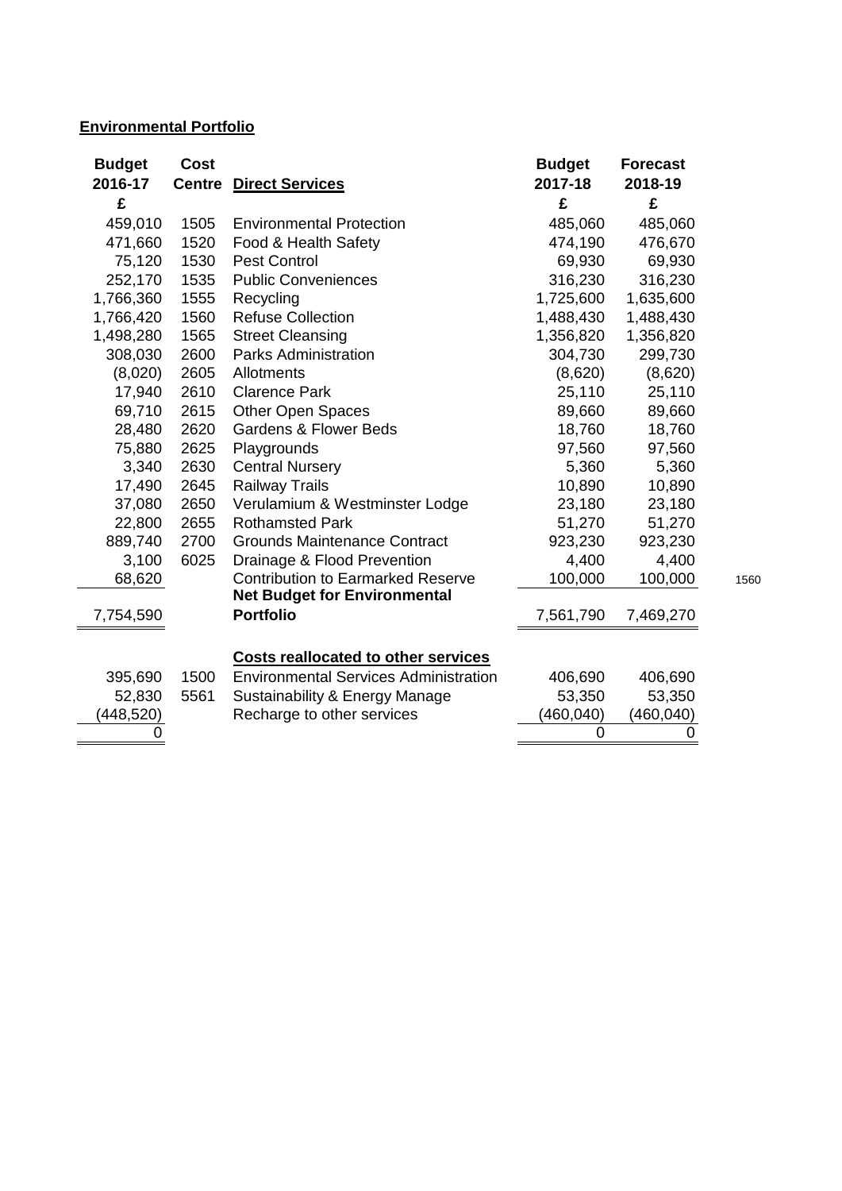# **Environmental Portfolio**

| <b>Budget</b> | <b>Cost</b>   |                                              | <b>Budget</b>  | <b>Forecast</b> |      |
|---------------|---------------|----------------------------------------------|----------------|-----------------|------|
| 2016-17       | <b>Centre</b> | <b>Direct Services</b>                       | 2017-18        | 2018-19         |      |
| £             |               |                                              | £              | £               |      |
| 459,010       | 1505          | <b>Environmental Protection</b>              | 485,060        | 485,060         |      |
| 471,660       | 1520          | Food & Health Safety                         | 474,190        | 476,670         |      |
| 75,120        | 1530          | <b>Pest Control</b>                          | 69,930         | 69,930          |      |
| 252,170       | 1535          | <b>Public Conveniences</b>                   | 316,230        | 316,230         |      |
| 1,766,360     | 1555          | Recycling                                    | 1,725,600      | 1,635,600       |      |
| 1,766,420     | 1560          | <b>Refuse Collection</b>                     | 1,488,430      | 1,488,430       |      |
| 1,498,280     | 1565          | <b>Street Cleansing</b>                      | 1,356,820      | 1,356,820       |      |
| 308,030       | 2600          | <b>Parks Administration</b>                  | 304,730        | 299,730         |      |
| (8,020)       | 2605          | Allotments                                   | (8,620)        | (8,620)         |      |
| 17,940        | 2610          | <b>Clarence Park</b>                         | 25,110         | 25,110          |      |
| 69,710        | 2615          | Other Open Spaces                            | 89,660         | 89,660          |      |
| 28,480        | 2620          | <b>Gardens &amp; Flower Beds</b>             | 18,760         | 18,760          |      |
| 75,880        | 2625          | Playgrounds                                  | 97,560         | 97,560          |      |
| 3,340         | 2630          | <b>Central Nursery</b>                       | 5,360          | 5,360           |      |
| 17,490        | 2645          | <b>Railway Trails</b>                        | 10,890         | 10,890          |      |
| 37,080        | 2650          | Verulamium & Westminster Lodge               | 23,180         | 23,180          |      |
| 22,800        | 2655          | <b>Rothamsted Park</b>                       | 51,270         | 51,270          |      |
| 889,740       | 2700          | <b>Grounds Maintenance Contract</b>          | 923,230        | 923,230         |      |
| 3,100         | 6025          | Drainage & Flood Prevention                  | 4,400          | 4,400           |      |
| 68,620        |               | <b>Contribution to Earmarked Reserve</b>     | 100,000        | 100,000         | 1560 |
|               |               | <b>Net Budget for Environmental</b>          |                |                 |      |
| 7,754,590     |               | <b>Portfolio</b>                             | 7,561,790      | 7,469,270       |      |
|               |               |                                              |                |                 |      |
|               |               | <b>Costs reallocated to other services</b>   |                |                 |      |
| 395,690       | 1500          | <b>Environmental Services Administration</b> | 406,690        | 406,690         |      |
| 52,830        | 5561          | Sustainability & Energy Manage               | 53,350         | 53,350          |      |
| (448,520)     |               | Recharge to other services                   | (460, 040)     | (460,040)       |      |
|               |               |                                              | $\overline{0}$ | 0               |      |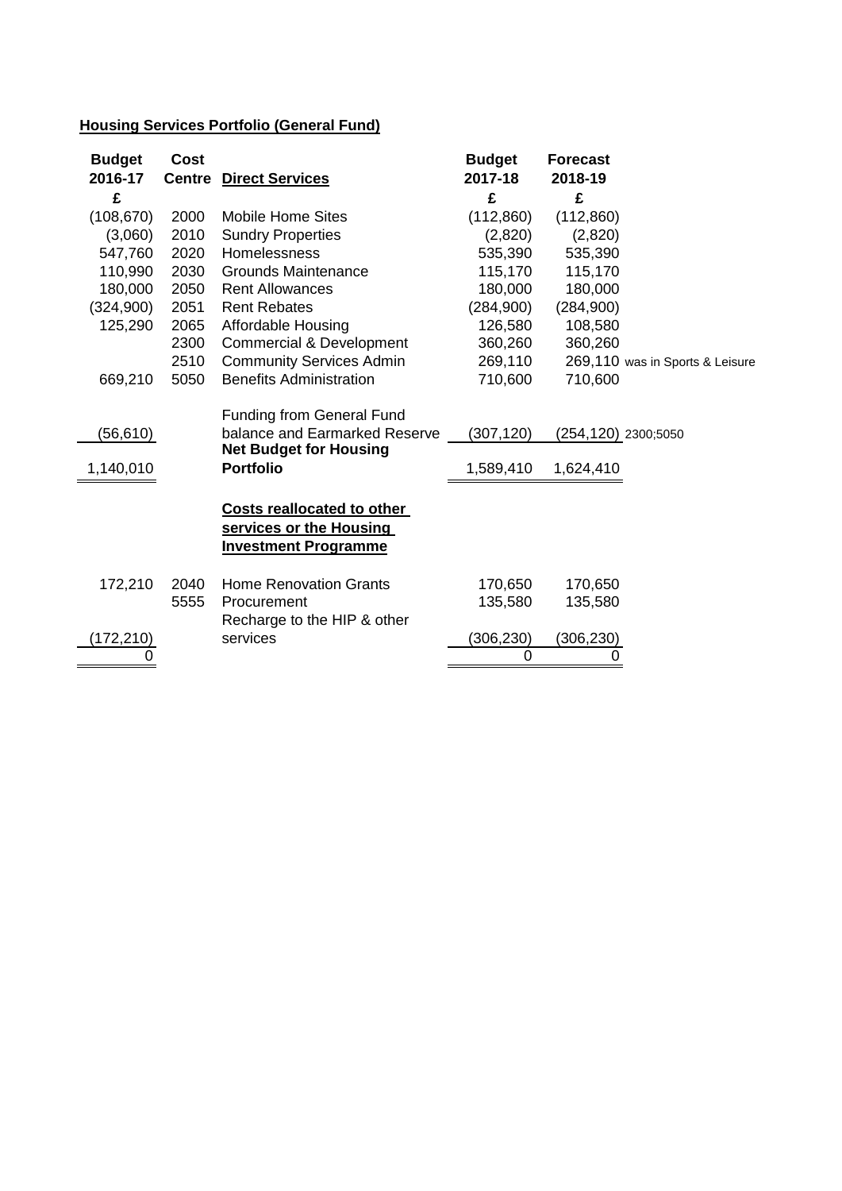# **Housing Services Portfolio (General Fund)**

| <b>Budget</b><br>2016-17 | <b>Cost</b><br><b>Centre</b> | <b>Direct Services</b>                                                                             | <b>Budget</b><br>2017-18 | <b>Forecast</b><br>2018-19 |                                 |
|--------------------------|------------------------------|----------------------------------------------------------------------------------------------------|--------------------------|----------------------------|---------------------------------|
| £                        |                              |                                                                                                    | £                        | £                          |                                 |
| (108, 670)               | 2000                         | <b>Mobile Home Sites</b>                                                                           | (112,860)                | (112,860)                  |                                 |
| (3,060)                  | 2010                         | <b>Sundry Properties</b>                                                                           | (2,820)                  | (2,820)                    |                                 |
| 547,760                  | 2020                         | <b>Homelessness</b>                                                                                | 535,390                  | 535,390                    |                                 |
| 110,990                  | 2030                         | <b>Grounds Maintenance</b>                                                                         | 115,170                  | 115,170                    |                                 |
| 180,000                  | 2050                         | <b>Rent Allowances</b>                                                                             | 180,000                  | 180,000                    |                                 |
| (324,900)                | 2051                         | <b>Rent Rebates</b>                                                                                | (284, 900)               | (284,900)                  |                                 |
| 125,290                  | 2065                         | Affordable Housing                                                                                 | 126,580                  | 108,580                    |                                 |
|                          | 2300                         | <b>Commercial &amp; Development</b>                                                                | 360,260                  | 360,260                    |                                 |
|                          | 2510                         | <b>Community Services Admin</b>                                                                    | 269,110                  |                            | 269,110 was in Sports & Leisure |
| 669,210                  | 5050                         | <b>Benefits Administration</b>                                                                     | 710,600                  | 710,600                    |                                 |
| (56,610)                 |                              | <b>Funding from General Fund</b><br>balance and Earmarked Reserve<br><b>Net Budget for Housing</b> | (307, 120)               | (254,120) 2300;5050        |                                 |
| 1,140,010                |                              | <b>Portfolio</b>                                                                                   | 1,589,410                | 1,624,410                  |                                 |
|                          |                              | Costs reallocated to other<br>services or the Housing<br><b>Investment Programme</b>               |                          |                            |                                 |
| 172,210                  | 2040                         | <b>Home Renovation Grants</b>                                                                      | 170,650                  | 170,650                    |                                 |
|                          | 5555                         | Procurement<br>Recharge to the HIP & other                                                         | 135,580                  | 135,580                    |                                 |
| (172, 210)               |                              | services                                                                                           | (306, 230)               | (306, 230)                 |                                 |
|                          |                              |                                                                                                    | 0                        |                            |                                 |
|                          |                              |                                                                                                    |                          |                            |                                 |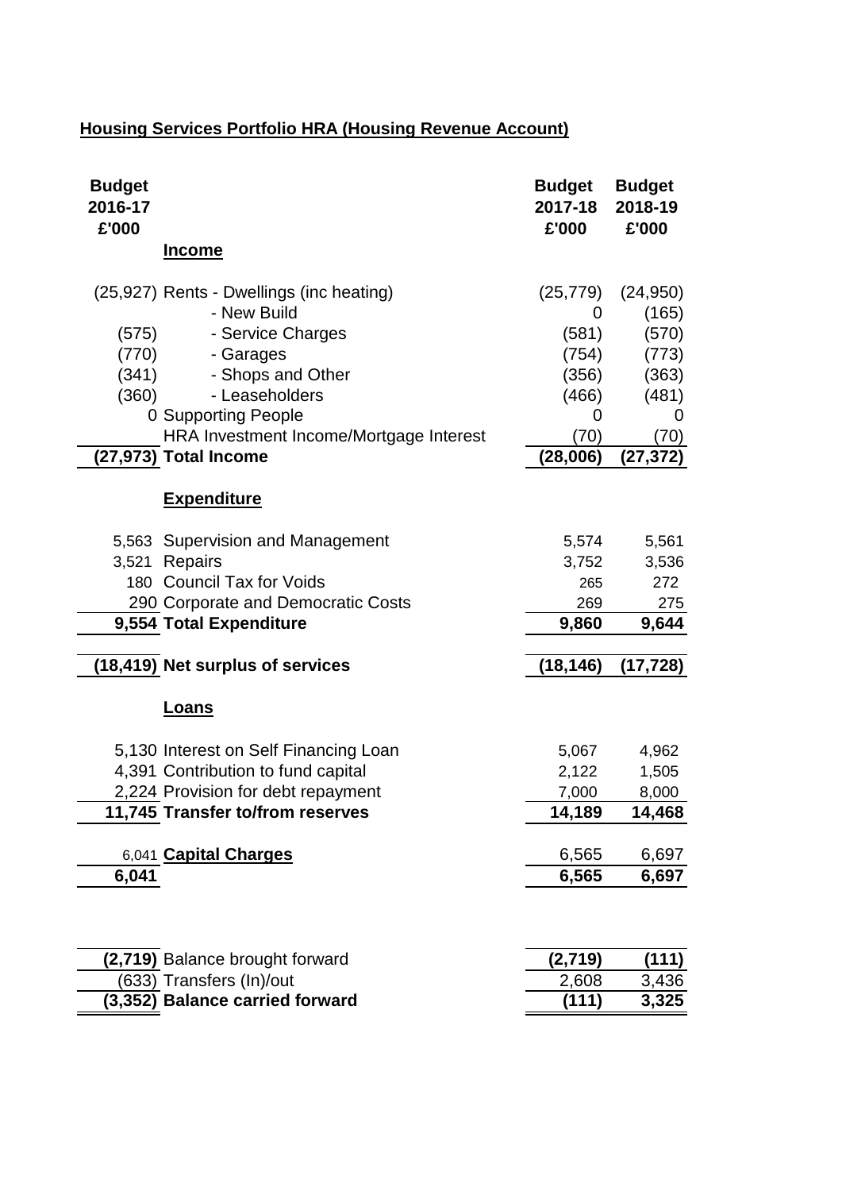# **Housing Services Portfolio HRA (Housing Revenue Account)**

| <b>Budget</b><br>2016-17<br>£'000 |                                                                                                                                                                                                                             | <b>Budget</b><br>2017-18<br>£'000                                           | <b>Budget</b><br>2018-19<br>£'000                                               |
|-----------------------------------|-----------------------------------------------------------------------------------------------------------------------------------------------------------------------------------------------------------------------------|-----------------------------------------------------------------------------|---------------------------------------------------------------------------------|
|                                   | <b>Income</b>                                                                                                                                                                                                               |                                                                             |                                                                                 |
| (575)<br>(770)<br>(341)<br>(360)  | (25,927) Rents - Dwellings (inc heating)<br>- New Build<br>- Service Charges<br>- Garages<br>- Shops and Other<br>- Leaseholders<br>0 Supporting People<br>HRA Investment Income/Mortgage Interest<br>(27,973) Total Income | (25, 779)<br>0<br>(581)<br>(754)<br>(356)<br>(466)<br>0<br>(70)<br>(28,006) | (24, 950)<br>(165)<br>(570)<br>(773)<br>(363)<br>(481)<br>0<br>(70)<br>(27,372) |
|                                   | <b>Expenditure</b>                                                                                                                                                                                                          |                                                                             |                                                                                 |
| 3,521                             | 5,563 Supervision and Management<br>Repairs<br>180 Council Tax for Voids<br>290 Corporate and Democratic Costs<br>9,554 Total Expenditure                                                                                   | 5,574<br>3,752<br>265<br>269<br>9,860                                       | 5,561<br>3,536<br>272<br>275<br>9,644                                           |
|                                   | (18,419) Net surplus of services                                                                                                                                                                                            | (18,146)                                                                    | (17, 728)                                                                       |
|                                   | Loans                                                                                                                                                                                                                       |                                                                             |                                                                                 |
|                                   | 5,130 Interest on Self Financing Loan<br>4,391 Contribution to fund capital<br>2,224 Provision for debt repayment<br>11,745 Transfer to/from reserves                                                                       | 5,067<br>2,122<br>7,000<br>14,189                                           | 4,962<br>1,505<br>8,000<br>14,468                                               |
| 6,041                             | 6,041 Capital Charges                                                                                                                                                                                                       | 6,565<br>6,565                                                              | 6,697<br>6,697                                                                  |
|                                   |                                                                                                                                                                                                                             |                                                                             |                                                                                 |
|                                   | (2,719) Balance brought forward                                                                                                                                                                                             | (2,719)                                                                     | (111)                                                                           |
|                                   | (633) Transfers (In)/out                                                                                                                                                                                                    | 2,608                                                                       | 3,436                                                                           |
|                                   | (3,352) Balance carried forward                                                                                                                                                                                             | (111)                                                                       | 3,325                                                                           |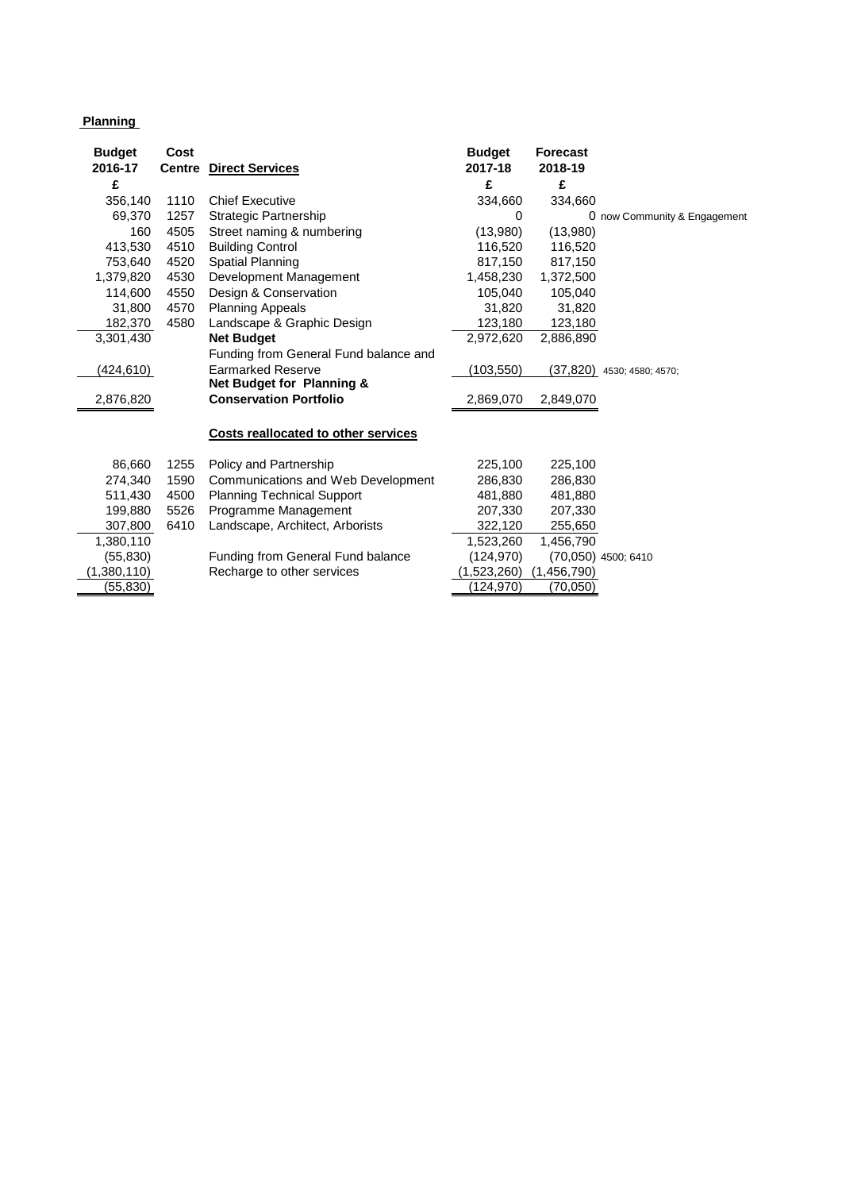## **Planning**

| <b>Budget</b>     | Cost          |                                       | <b>Budget</b> | <b>Forecast</b> |                              |
|-------------------|---------------|---------------------------------------|---------------|-----------------|------------------------------|
| 2016-17           | <b>Centre</b> | <b>Direct Services</b>                | 2017-18       | 2018-19         |                              |
| £                 |               |                                       | £             | £               |                              |
| 356,140           | 1110          | <b>Chief Executive</b>                | 334,660       | 334,660         |                              |
| 69,370            | 1257          | Strategic Partnership                 | 0             |                 | 0 now Community & Engagement |
| 160               | 4505          | Street naming & numbering             | (13,980)      | (13,980)        |                              |
| 413,530           | 4510          | <b>Building Control</b>               | 116,520       | 116,520         |                              |
| 753,640           | 4520          | Spatial Planning                      | 817,150       | 817,150         |                              |
| 1,379,820         | 4530          | Development Management                | 1,458,230     | 1,372,500       |                              |
| 114,600           | 4550          | Design & Conservation                 | 105,040       | 105,040         |                              |
| 31,800            | 4570          | <b>Planning Appeals</b>               | 31.820        | 31,820          |                              |
| 182,370           | 4580          | Landscape & Graphic Design            | 123,180       | 123,180         |                              |
| 3,301,430         |               | <b>Net Budget</b>                     | 2,972,620     | 2,886,890       |                              |
|                   |               | Funding from General Fund balance and |               |                 |                              |
| <u>(424,61</u> 0) |               | <b>Earmarked Reserve</b>              | (103,550)     |                 | $(37,820)$ 4530; 4580; 4570; |
|                   |               | Net Budget for Planning &             |               |                 |                              |
| 2,876,820         |               | <b>Conservation Portfolio</b>         | 2,869,070     | 2,849,070       |                              |
|                   |               |                                       |               |                 |                              |
|                   |               | Costs reallocated to other services   |               |                 |                              |
| 86,660            | 1255          | Policy and Partnership                | 225,100       | 225,100         |                              |
| 274,340           | 1590          | Communications and Web Development    | 286,830       | 286,830         |                              |
| 511,430           | 4500          | <b>Planning Technical Support</b>     | 481,880       | 481,880         |                              |
| 199,880           | 5526          | Programme Management                  | 207,330       | 207,330         |                              |
| 307,800           | 6410          | Landscape, Architect, Arborists       | 322,120       | 255,650         |                              |
| 1,380,110         |               |                                       | 1,523,260     | 1,456,790       |                              |
| (55, 830)         |               | Funding from General Fund balance     | (124, 970)    |                 | (70,050) 4500; 6410          |
| (1,380,110)       |               | Recharge to other services            | (1,523,260)   | (1,456,790)     |                              |
| (55,830)          |               |                                       | (124,970)     | (70,050)        |                              |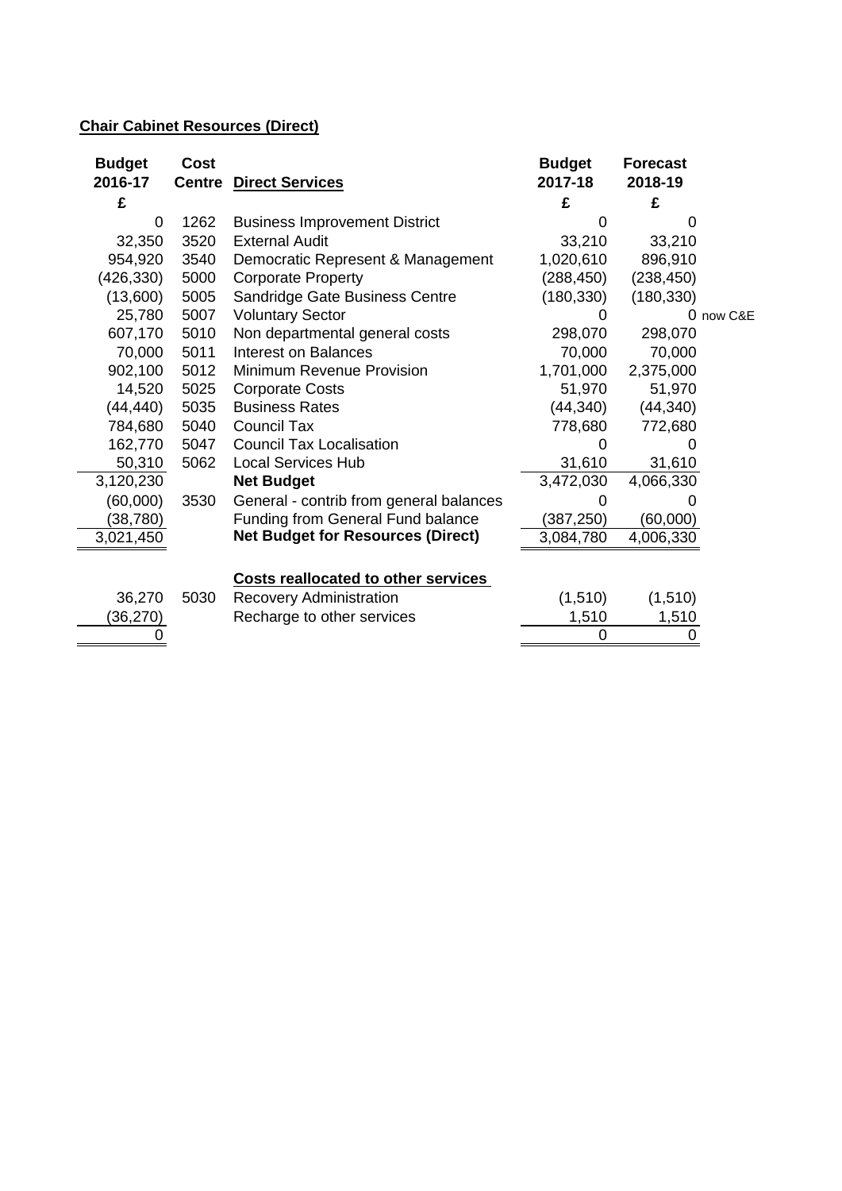# **Chair Cabinet Resources (Direct)**

| <b>Budget</b><br>2016-17 | Cost<br><b>Centre</b> | <b>Direct Services</b>                     | <b>Budget</b><br>2017-18 | <b>Forecast</b><br>2018-19 |           |
|--------------------------|-----------------------|--------------------------------------------|--------------------------|----------------------------|-----------|
| £                        |                       |                                            | £                        | £                          |           |
| 0                        | 1262                  | <b>Business Improvement District</b>       | 0                        | $\mathbf{0}$               |           |
| 32,350                   | 3520                  | <b>External Audit</b>                      | 33,210                   | 33,210                     |           |
| 954,920                  | 3540                  | Democratic Represent & Management          | 1,020,610                | 896,910                    |           |
| (426, 330)               | 5000                  | <b>Corporate Property</b>                  | (288, 450)               | (238, 450)                 |           |
| (13,600)                 | 5005                  | Sandridge Gate Business Centre             | (180, 330)               | (180, 330)                 |           |
| 25,780                   | 5007                  | <b>Voluntary Sector</b>                    | 0                        |                            | 0 now C&E |
| 607,170                  | 5010                  | Non departmental general costs             | 298,070                  | 298,070                    |           |
| 70,000                   | 5011                  | <b>Interest on Balances</b>                | 70,000                   | 70,000                     |           |
| 902,100                  | 5012                  | Minimum Revenue Provision                  | 1,701,000                | 2,375,000                  |           |
| 14,520                   | 5025                  | <b>Corporate Costs</b>                     | 51,970                   | 51,970                     |           |
| (44, 440)                | 5035                  | <b>Business Rates</b>                      | (44, 340)                | (44, 340)                  |           |
| 784,680                  | 5040                  | <b>Council Tax</b>                         | 778,680                  | 772,680                    |           |
| 162,770                  | 5047                  | <b>Council Tax Localisation</b>            |                          |                            |           |
| 50,310                   | 5062                  | <b>Local Services Hub</b>                  | 31,610                   | 31,610                     |           |
| 3,120,230                |                       | <b>Net Budget</b>                          | 3,472,030                | 4,066,330                  |           |
| (60,000)                 | 3530                  | General - contrib from general balances    | O                        |                            |           |
| (38, 780)                |                       | Funding from General Fund balance          | (387, 250)               | (60,000)                   |           |
| 3,021,450                |                       | <b>Net Budget for Resources (Direct)</b>   | 3,084,780                | 4,006,330                  |           |
|                          |                       | <b>Costs reallocated to other services</b> |                          |                            |           |
| 36,270                   | 5030                  | <b>Recovery Administration</b>             | (1, 510)                 | (1, 510)                   |           |
| (36, 270)                |                       | Recharge to other services                 | 1,510                    | 1,510                      |           |
|                          |                       |                                            | 0                        |                            |           |
|                          |                       |                                            |                          |                            |           |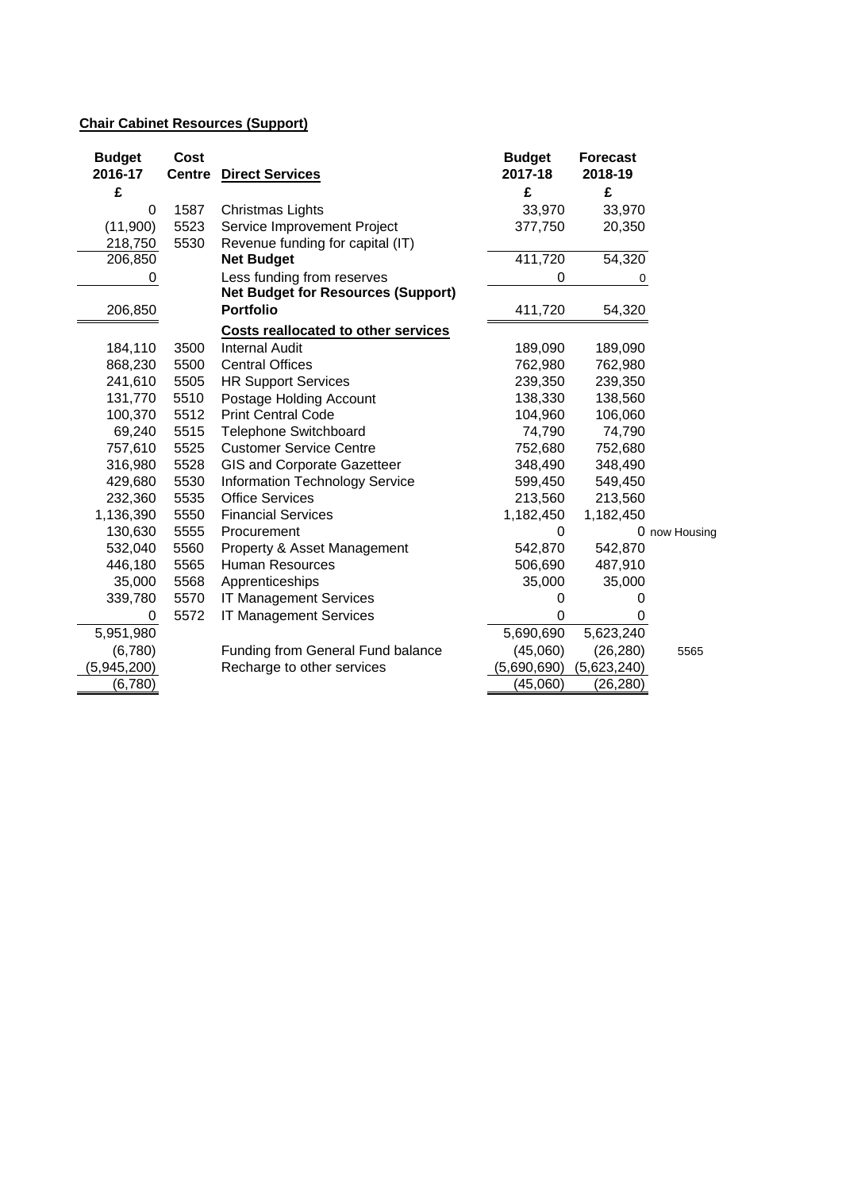# **Chair Cabinet Resources (Support)**

| <b>Budget</b> | Cost          |                                            | <b>Budget</b> | <b>Forecast</b> |               |
|---------------|---------------|--------------------------------------------|---------------|-----------------|---------------|
| 2016-17       | <b>Centre</b> | <b>Direct Services</b>                     | 2017-18       | 2018-19         |               |
| £             |               |                                            | £             | £               |               |
| 0             | 1587          | Christmas Lights                           | 33,970        | 33,970          |               |
| (11,900)      | 5523          | Service Improvement Project                | 377,750       | 20,350          |               |
| 218,750       | 5530          | Revenue funding for capital (IT)           |               |                 |               |
| 206,850       |               | <b>Net Budget</b>                          | 411,720       | 54,320          |               |
| 0             |               | Less funding from reserves                 | 0             | 0               |               |
|               |               | <b>Net Budget for Resources (Support)</b>  |               |                 |               |
| 206,850       |               | <b>Portfolio</b>                           | 411,720       | 54,320          |               |
|               |               | <b>Costs reallocated to other services</b> |               |                 |               |
| 184,110       | 3500          | <b>Internal Audit</b>                      | 189,090       | 189,090         |               |
| 868,230       | 5500          | <b>Central Offices</b>                     | 762,980       | 762,980         |               |
| 241,610       | 5505          | <b>HR Support Services</b>                 | 239,350       | 239,350         |               |
| 131,770       | 5510          | Postage Holding Account                    | 138,330       | 138,560         |               |
| 100,370       | 5512          | <b>Print Central Code</b>                  | 104,960       | 106,060         |               |
| 69,240        | 5515          | <b>Telephone Switchboard</b>               | 74,790        | 74,790          |               |
| 757,610       | 5525          | <b>Customer Service Centre</b>             | 752,680       | 752,680         |               |
| 316,980       | 5528          | GIS and Corporate Gazetteer                | 348,490       | 348,490         |               |
| 429,680       | 5530          | <b>Information Technology Service</b>      | 599,450       | 549,450         |               |
| 232,360       | 5535          | <b>Office Services</b>                     | 213,560       | 213,560         |               |
| 1,136,390     | 5550          | <b>Financial Services</b>                  | 1,182,450     | 1,182,450       |               |
| 130,630       | 5555          | Procurement                                | 0             |                 | 0 now Housing |
| 532,040       | 5560          | Property & Asset Management                | 542,870       | 542,870         |               |
| 446,180       | 5565          | Human Resources                            | 506,690       | 487,910         |               |
| 35,000        | 5568          | Apprenticeships                            | 35,000        | 35,000          |               |
| 339,780       | 5570          | <b>IT Management Services</b>              | 0             | 0               |               |
| 0             | 5572          | <b>IT Management Services</b>              | 0             | $\Omega$        |               |
| 5,951,980     |               |                                            | 5,690,690     | 5,623,240       |               |
| (6,780)       |               | Funding from General Fund balance          | (45,060)      | (26, 280)       | 5565          |
| (5,945,200)   |               | Recharge to other services                 | (5,690,690)   | (5,623,240)     |               |
| (6,780)       |               |                                            | (45,060)      | (26, 280)       |               |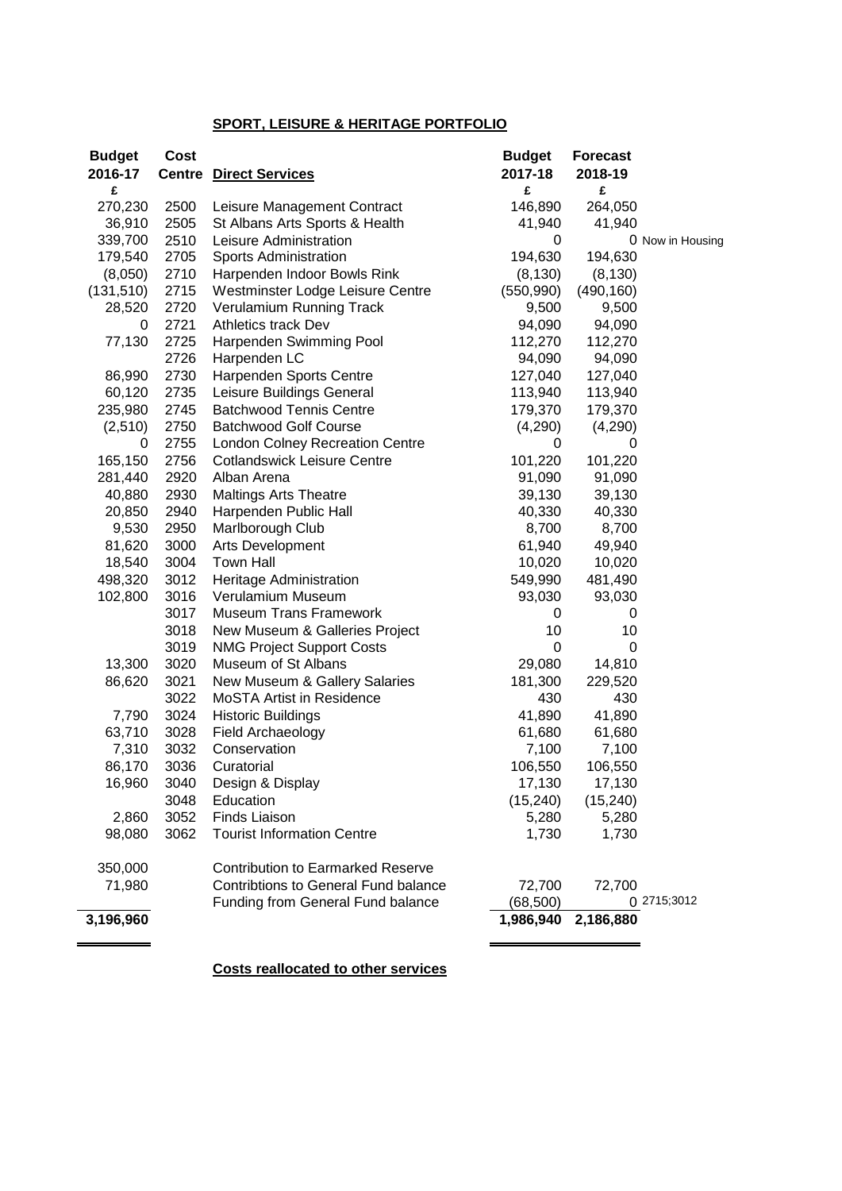## **SPORT, LEISURE & HERITAGE PORTFOLIO**

| <b>Budget</b> | Cost |                                             | <b>Budget</b> | <b>Forecast</b> |                  |
|---------------|------|---------------------------------------------|---------------|-----------------|------------------|
| 2016-17       |      | <b>Centre Direct Services</b>               | 2017-18       | 2018-19         |                  |
| £             |      |                                             | £             | £               |                  |
| 270,230       | 2500 | Leisure Management Contract                 | 146,890       | 264,050         |                  |
| 36,910        | 2505 | St Albans Arts Sports & Health              | 41,940        | 41,940          |                  |
| 339,700       | 2510 | Leisure Administration                      | 0             |                 | 0 Now in Housing |
| 179,540       | 2705 | <b>Sports Administration</b>                | 194,630       | 194,630         |                  |
| (8,050)       | 2710 | Harpenden Indoor Bowls Rink                 | (8, 130)      | (8, 130)        |                  |
| (131, 510)    | 2715 | Westminster Lodge Leisure Centre            | (550, 990)    | (490, 160)      |                  |
| 28,520        | 2720 | Verulamium Running Track                    | 9,500         | 9,500           |                  |
| 0             | 2721 | <b>Athletics track Dev</b>                  | 94,090        | 94,090          |                  |
| 77,130        | 2725 | Harpenden Swimming Pool                     | 112,270       | 112,270         |                  |
|               | 2726 | Harpenden LC                                | 94,090        | 94,090          |                  |
| 86,990        | 2730 | Harpenden Sports Centre                     | 127,040       | 127,040         |                  |
| 60,120        | 2735 | Leisure Buildings General                   | 113,940       | 113,940         |                  |
| 235,980       | 2745 | <b>Batchwood Tennis Centre</b>              | 179,370       | 179,370         |                  |
| (2,510)       | 2750 | <b>Batchwood Golf Course</b>                | (4,290)       | (4,290)         |                  |
| 0             | 2755 | <b>London Colney Recreation Centre</b>      | 0             | 0               |                  |
| 165,150       | 2756 | <b>Cotlandswick Leisure Centre</b>          | 101,220       | 101,220         |                  |
| 281,440       | 2920 | Alban Arena                                 | 91,090        | 91,090          |                  |
| 40,880        | 2930 | <b>Maltings Arts Theatre</b>                | 39,130        | 39,130          |                  |
| 20,850        | 2940 | Harpenden Public Hall                       | 40,330        | 40,330          |                  |
| 9,530         | 2950 | Marlborough Club                            | 8,700         | 8,700           |                  |
| 81,620        | 3000 | Arts Development                            | 61,940        | 49,940          |                  |
|               |      | <b>Town Hall</b>                            |               |                 |                  |
| 18,540        | 3004 |                                             | 10,020        | 10,020          |                  |
| 498,320       | 3012 | Heritage Administration                     | 549,990       | 481,490         |                  |
| 102,800       | 3016 | Verulamium Museum                           | 93,030        | 93,030          |                  |
|               | 3017 | <b>Museum Trans Framework</b>               | 0             | 0               |                  |
|               | 3018 | New Museum & Galleries Project              | 10            | 10              |                  |
|               | 3019 | <b>NMG Project Support Costs</b>            | 0             | 0               |                  |
| 13,300        | 3020 | Museum of St Albans                         | 29,080        | 14,810          |                  |
| 86,620        | 3021 | New Museum & Gallery Salaries               | 181,300       | 229,520         |                  |
|               | 3022 | <b>MoSTA Artist in Residence</b>            | 430           | 430             |                  |
| 7,790         | 3024 | <b>Historic Buildings</b>                   | 41,890        | 41,890          |                  |
| 63,710        | 3028 | Field Archaeology                           | 61,680        | 61,680          |                  |
| 7,310         | 3032 | Conservation                                | 7,100         | 7,100           |                  |
| 86,170        | 3036 | Curatorial                                  | 106,550       | 106,550         |                  |
| 16,960        | 3040 | Design & Display                            | 17,130        | 17,130          |                  |
|               | 3048 | Education                                   | (15, 240)     | (15, 240)       |                  |
| 2,860         | 3052 | <b>Finds Liaison</b>                        | 5,280         | 5,280           |                  |
| 98,080        | 3062 | <b>Tourist Information Centre</b>           | 1,730         | 1,730           |                  |
| 350,000       |      | <b>Contribution to Earmarked Reserve</b>    |               |                 |                  |
| 71,980        |      | <b>Contribtions to General Fund balance</b> | 72,700        | 72,700          |                  |
|               |      | Funding from General Fund balance           | (68, 500)     |                 | 0 2715;3012      |
| 3,196,960     |      |                                             | 1,986,940     | 2,186,880       |                  |
|               |      |                                             |               |                 |                  |

**Costs reallocated to other services**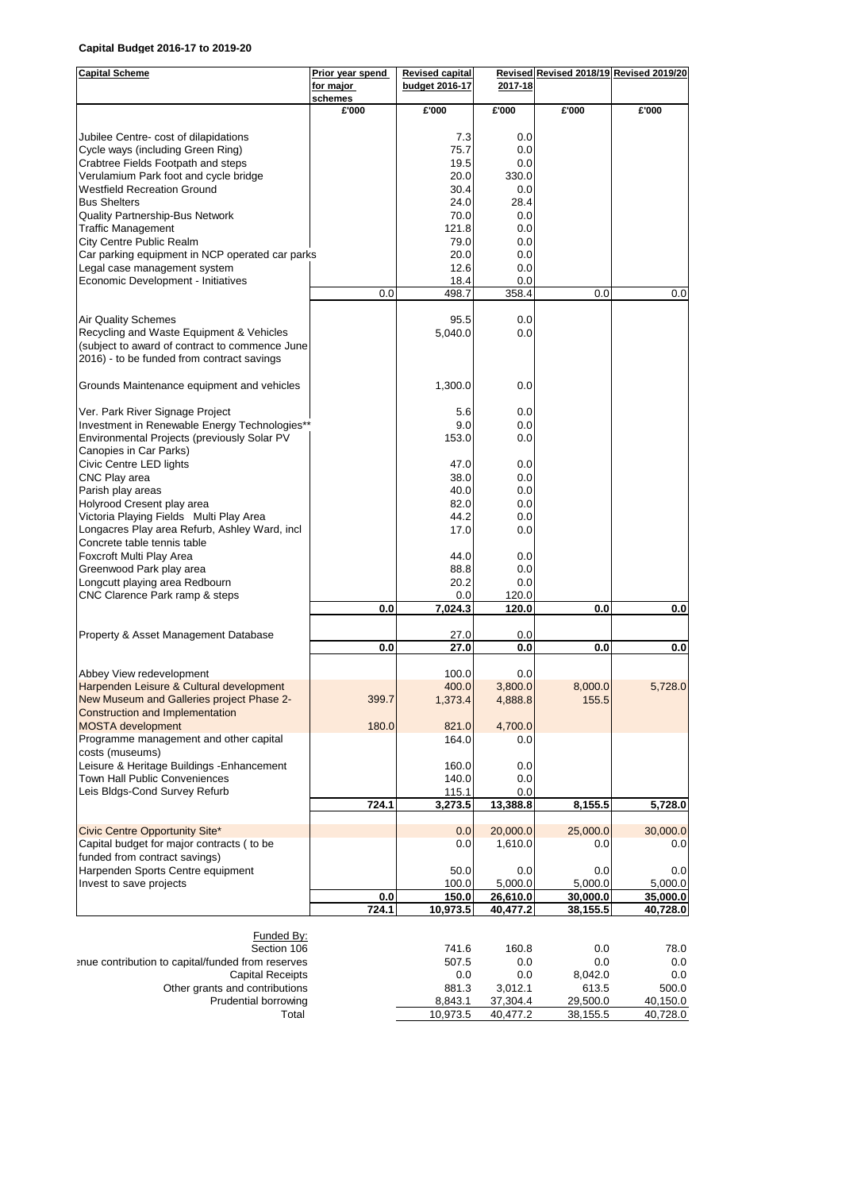#### **Capital Budget 2016-17 to 2019-20**

| <b>Capital Scheme</b>                                                         | Prior year spend     | <b>Revised capital</b><br>budget 2016-17 | 2017-18             | Revised Revised 2018/19 Revised 2019/20 |                   |
|-------------------------------------------------------------------------------|----------------------|------------------------------------------|---------------------|-----------------------------------------|-------------------|
|                                                                               | for major<br>schemes |                                          |                     |                                         |                   |
|                                                                               | £'000                | £'000                                    | £'000               | £'000                                   | £'000             |
| Jubilee Centre- cost of dilapidations                                         |                      | 7.3                                      | 0.0                 |                                         |                   |
| Cycle ways (including Green Ring)                                             |                      | 75.7                                     | 0.0                 |                                         |                   |
| Crabtree Fields Footpath and steps                                            |                      | 19.5                                     | 0.0                 |                                         |                   |
| Verulamium Park foot and cycle bridge                                         |                      | 20.0                                     | 330.0               |                                         |                   |
| <b>Westfield Recreation Ground</b>                                            |                      | 30.4                                     | 0.0                 |                                         |                   |
| <b>Bus Shelters</b>                                                           |                      | 24.0                                     | 28.4                |                                         |                   |
| Quality Partnership-Bus Network                                               |                      | 70.0                                     | 0.0                 |                                         |                   |
| <b>Traffic Management</b>                                                     |                      | 121.8                                    | 0.0                 |                                         |                   |
| City Centre Public Realm                                                      |                      | 79.0                                     | 0.0                 |                                         |                   |
| Car parking equipment in NCP operated car parks                               |                      | 20.0                                     | 0.0                 |                                         |                   |
| Legal case management system<br>Economic Development - Initiatives            |                      | 12.6<br>18.4                             | 0.0<br>0.0          |                                         |                   |
|                                                                               | 0.0                  | 498.7                                    | 358.4               | 0.0                                     | 0.0               |
|                                                                               |                      |                                          |                     |                                         |                   |
| <b>Air Quality Schemes</b>                                                    |                      | 95.5                                     | 0.0                 |                                         |                   |
| Recycling and Waste Equipment & Vehicles                                      |                      | 5,040.0                                  | 0.0                 |                                         |                   |
| (subject to award of contract to commence June                                |                      |                                          |                     |                                         |                   |
| 2016) - to be funded from contract savings                                    |                      |                                          |                     |                                         |                   |
| Grounds Maintenance equipment and vehicles                                    |                      | 1,300.0                                  | 0.0                 |                                         |                   |
| Ver. Park River Signage Project                                               |                      | 5.6                                      | 0.0                 |                                         |                   |
| Investment in Renewable Energy Technologies**                                 |                      | 9.0                                      | 0.0                 |                                         |                   |
| Environmental Projects (previously Solar PV<br>Canopies in Car Parks)         |                      | 153.0                                    | 0.0                 |                                         |                   |
| Civic Centre LED lights                                                       |                      | 47.0                                     | 0.0                 |                                         |                   |
| CNC Play area                                                                 |                      | 38.0                                     | 0.0                 |                                         |                   |
| Parish play areas                                                             |                      | 40.0                                     | 0.0                 |                                         |                   |
| Holyrood Cresent play area                                                    |                      | 82.0                                     | 0.0                 |                                         |                   |
| Victoria Playing Fields Multi Play Area                                       |                      | 44.2                                     | 0.0                 |                                         |                   |
| Longacres Play area Refurb, Ashley Ward, incl.<br>Concrete table tennis table |                      | 17.0                                     | 0.0                 |                                         |                   |
| Foxcroft Multi Play Area                                                      |                      | 44.0                                     | 0.0                 |                                         |                   |
| Greenwood Park play area                                                      |                      | 88.8                                     | 0.0                 |                                         |                   |
| Longcutt playing area Redbourn                                                |                      | 20.2                                     | 0.0                 |                                         |                   |
| CNC Clarence Park ramp & steps                                                | 0.0                  | 0.0<br>7,024.3                           | 120.0<br>120.0      | 0.0                                     | 0.0               |
|                                                                               |                      |                                          |                     |                                         |                   |
| Property & Asset Management Database                                          | 0.0                  | 27.0<br>27.0                             | 0.0<br>0.0          | 0.0                                     | 0.0               |
|                                                                               |                      |                                          |                     |                                         |                   |
| Abbey View redevelopment                                                      |                      | 100.0                                    | 0.0                 |                                         |                   |
| Harpenden Leisure & Cultural development                                      |                      | 400.0                                    | 3,800.0             | 8,000.0                                 | 5,728.0           |
| New Museum and Galleries project Phase 2-                                     | 399.7                | 1,373.4                                  | 4,888.8             | 155.5                                   |                   |
| Construction and Implementation                                               |                      |                                          |                     |                                         |                   |
| <b>MOSTA</b> development<br>Programme management and other capital            | 180.0                | 821.0                                    | 4,700.0             |                                         |                   |
| costs (museums)                                                               |                      | 164.0                                    | 0.0                 |                                         |                   |
| Leisure & Heritage Buildings - Enhancement                                    |                      | 160.0                                    | 0.0                 |                                         |                   |
| Town Hall Public Conveniences                                                 |                      | 140.0                                    | 0.0                 |                                         |                   |
| Leis Bldgs-Cond Survey Refurb                                                 |                      | 115.1                                    | 0.0                 |                                         |                   |
|                                                                               | 724.1                | 3,273.5                                  | 13,388.8            | 8,155.5                                 | 5,728.0           |
| Civic Centre Opportunity Site*                                                |                      | 0.0                                      | 20,000.0            | 25,000.0                                | 30,000.0          |
| Capital budget for major contracts (to be                                     |                      | 0.0                                      | 1,610.0             | 0.0                                     | 0.0               |
| funded from contract savings)                                                 |                      |                                          |                     |                                         |                   |
| Harpenden Sports Centre equipment                                             |                      | 50.0                                     | 0.0                 | 0.0                                     | 0.0               |
| Invest to save projects                                                       |                      | 100.0                                    | 5,000.0             | 5,000.0                                 | 5,000.0           |
|                                                                               | 0.0                  | 150.0                                    | 26,610.0            | 30,000.0                                | 35,000.0          |
|                                                                               | 724.1                | 10,973.5                                 | 40,477.2            | 38,155.5                                | 40,728.0          |
| <b>Funded By:</b>                                                             |                      |                                          |                     |                                         |                   |
| Section 106                                                                   |                      | 741.6                                    | 160.8               | 0.0                                     | 78.0              |
| anue contribution to capital/funded from reserves                             |                      | 507.5                                    | 0.0                 | 0.0                                     | $0.0\,$           |
| <b>Capital Receipts</b>                                                       |                      | 0.0                                      | $0.0\,$             | 8,042.0                                 | $0.0\,$           |
| Other grants and contributions<br>Prudential borrowing                        |                      | 881.3<br>8,843.1                         | 3,012.1<br>37,304.4 | 613.5<br>29,500.0                       | 500.0<br>40,150.0 |
| Total                                                                         |                      | 10,973.5                                 | 40,477.2            | 38,155.5                                | 40,728.0          |
|                                                                               |                      |                                          |                     |                                         |                   |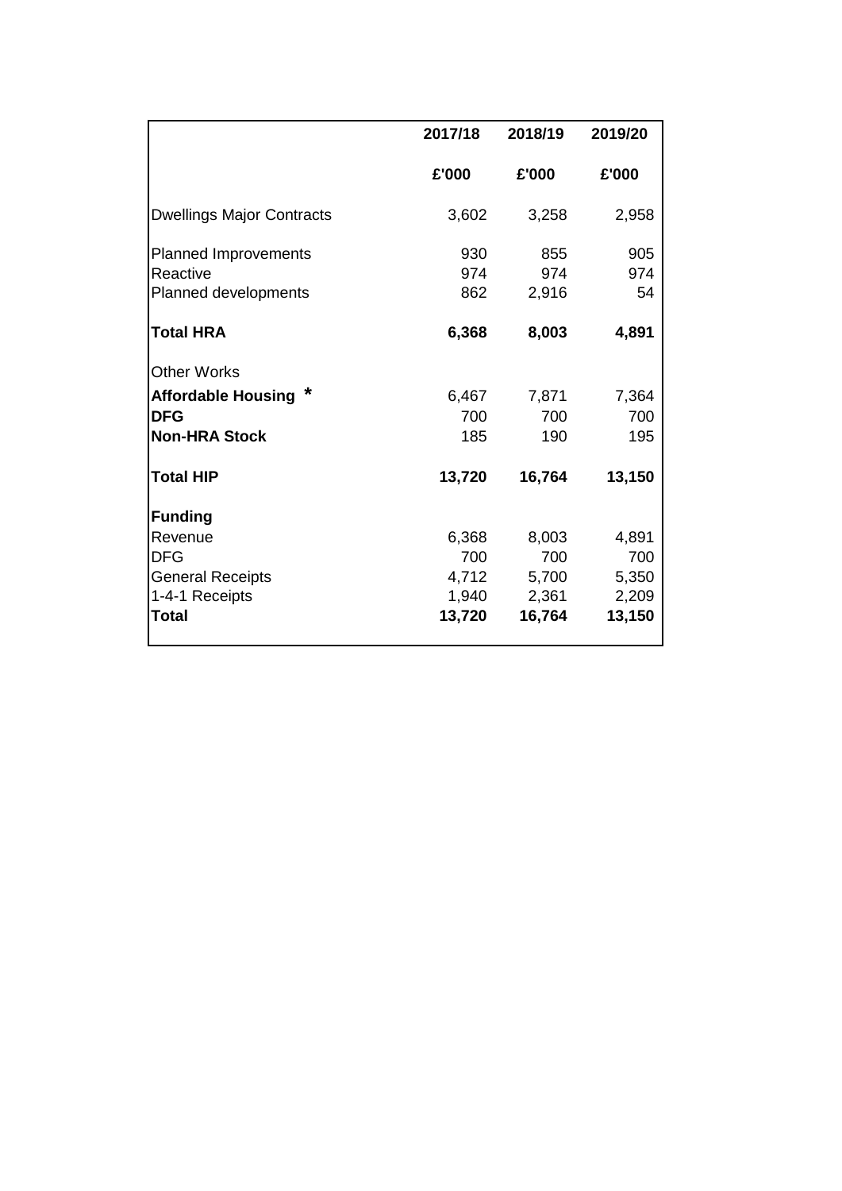|                                  | 2017/18 | 2018/19 | 2019/20 |
|----------------------------------|---------|---------|---------|
|                                  | £'000   | £'000   | £'000   |
| <b>Dwellings Major Contracts</b> | 3,602   | 3,258   | 2,958   |
| <b>Planned Improvements</b>      | 930     | 855     | 905     |
| Reactive                         | 974     | 974     | 974     |
| Planned developments             | 862     | 2,916   | 54      |
| <b>Total HRA</b>                 | 6,368   | 8,003   | 4,891   |
| <b>Other Works</b>               |         |         |         |
| <b>Affordable Housing</b>        | 6,467   | 7,871   | 7,364   |
| <b>DFG</b>                       | 700     | 700     | 700     |
| <b>Non-HRA Stock</b>             | 185     | 190     | 195     |
| <b>Total HIP</b>                 | 13,720  | 16,764  | 13,150  |
| <b>Funding</b>                   |         |         |         |
| Revenue                          | 6,368   | 8,003   | 4,891   |
| <b>DFG</b>                       | 700     | 700     | 700     |
| <b>General Receipts</b>          | 4,712   | 5,700   | 5,350   |
| 1-4-1 Receipts                   | 1,940   | 2,361   | 2,209   |
| Total                            | 13,720  | 16,764  | 13,150  |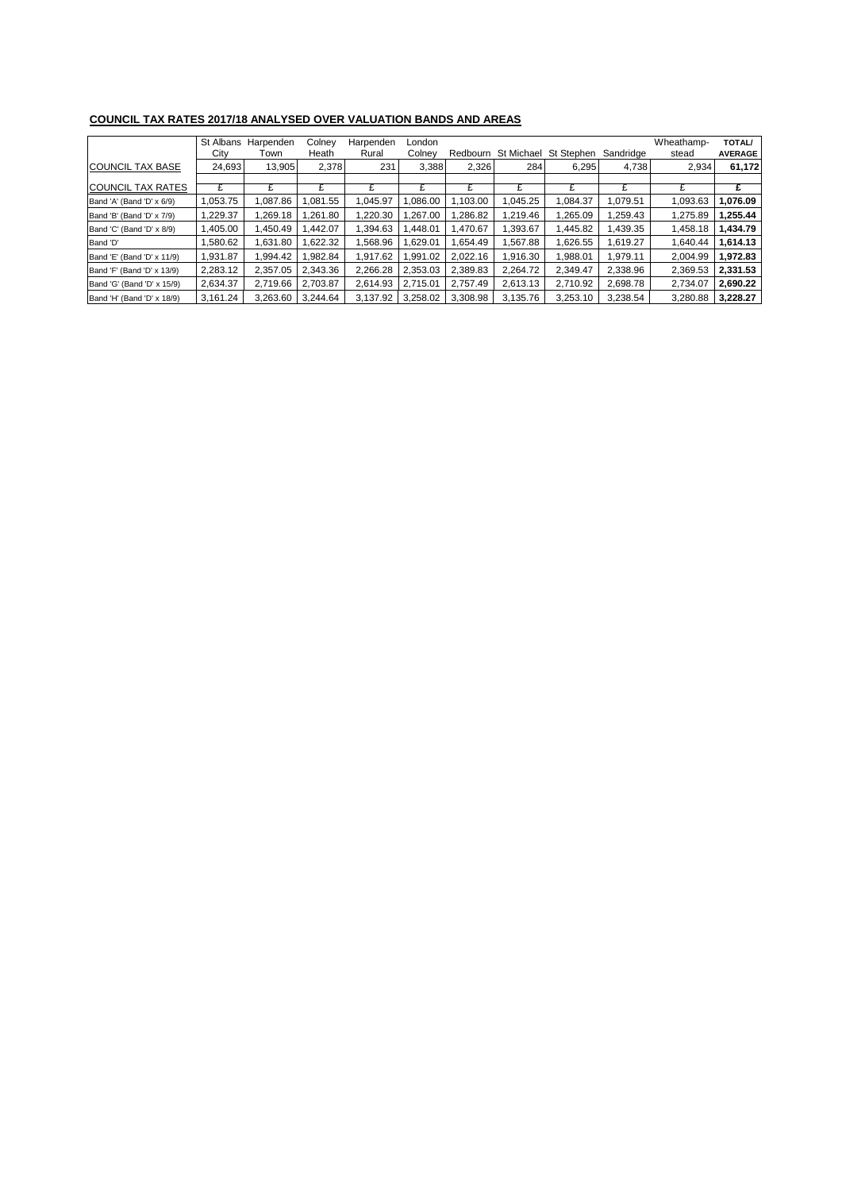| <b>COUNCIL TAX RATES 2017/18 ANALYSED OVER VALUATION BANDS AND AREAS</b> |           |           |          |           |          |          |            |            |           |            |                |
|--------------------------------------------------------------------------|-----------|-----------|----------|-----------|----------|----------|------------|------------|-----------|------------|----------------|
|                                                                          | St Albans | Harpenden | Colney   | Harpenden | London   |          |            |            |           | Wheathamp- | <b>TOTAL/</b>  |
|                                                                          | City      | Town      | Heath    | Rural     | Colney   | Redbourn | St Michael | St Stephen | Sandridge | stead      | <b>AVERAGE</b> |
| <b>COUNCIL TAX BASE</b>                                                  | 24,693    | 13,905    | 2,378    | 231       | 3,388    | 2,326    | 284        | 6,295      | 4,738     | 2,934      | 61,172         |
|                                                                          |           |           |          |           |          |          |            |            |           |            |                |
| <b>COUNCIL TAX RATES</b>                                                 | £         | £         | £        | £         | £        | £        | £          | £          | £         | £          | £              |
| Band 'A' (Band 'D' x 6/9)                                                | 1,053.75  | 1,087.86  | ,081.55  | 1,045.97  | 086.00,  | 1,103.00 | 1,045.25   | 1,084.37   | 1,079.51  | 1,093.63   | 1,076.09       |
| Band 'B' (Band 'D' x 7/9)                                                | 1,229.37  | 1,269.18  | ,261.80  | ,220.30   | ,267.00  | 1,286.82 | 1,219.46   | 1,265.09   | 1,259.43  | 1,275.89   | 1,255.44       |
| Band 'C' (Band 'D' x 8/9)                                                | 1,405.00  | 1.450.49  | .442.07  | .394.63   | .448.01  | 1.470.67 | 1,393.67   | 1,445.82   | 1,439.35  | 1,458.18   | 1,434.79       |
| Band 'D'                                                                 | 1,580.62  | 1,631.80  | .622.32  | ,568.96   | ,629.01  | 1,654.49 | 567.88     | 1,626.55   | 1,619.27  | 1,640.44   | 1,614.13       |
| Band 'E' (Band 'D' x 11/9)                                               | 1,931.87  | 1,994.42  | ,982.84  | 1.917.62  | ,991.02  | 2,022.16 | 1,916.30   | 1,988.01   | 1,979.11  | 2,004.99   | 1,972.83       |
| Band 'F' (Band 'D' x 13/9)                                               | 2,283.12  | 2,357.05  | 2,343.36 | 2,266.28  | 2,353.03 | 2,389.83 | 2,264.72   | 2,349.47   | 2,338.96  | 2,369.53   | 2,331.53       |
| Band 'G' (Band 'D' x 15/9)                                               | 2,634.37  | 2,719.66  | 2,703.87 | 2,614.93  | 2.715.01 | 2.757.49 | 2,613.13   | 2,710.92   | 2,698.78  | 2,734.07   | 2,690.22       |
| Band 'H' (Band 'D' x 18/9)                                               | 3,161.24  | 3.263.60  | 3.244.64 | 3.137.92  | 3.258.02 | 3.308.98 | 3.135.76   | 3,253.10   | 3,238.54  | 3.280.88   | 3,228.27       |